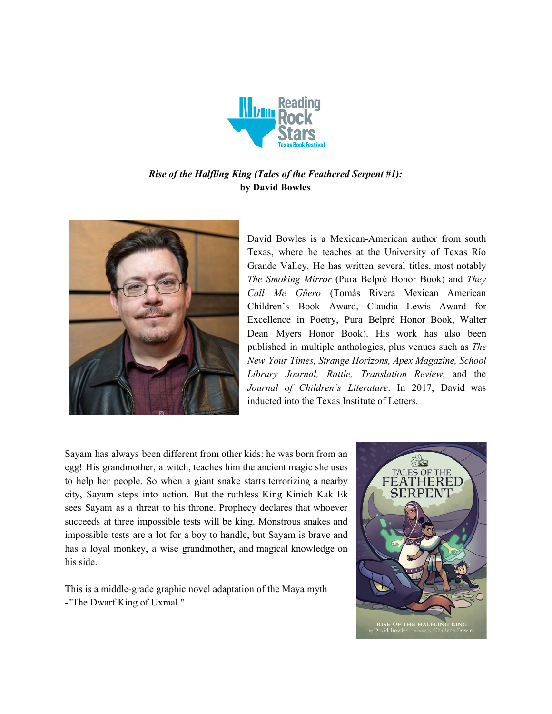

# *Rise of the Halfling King (Tales of the Feathered Serpent #1):* **by David Bowles**



David Bowles is a Mexican-American author from south Texas, where he teaches at the University of Texas Río Grande Valley. He has written several titles, most notably *The Smoking Mirror* (Pura Belpré Honor Book) and *They Call Me Güero* (Tomás Rivera Mexican American Children's Book Award, Claudia Lewis Award for Excellence in Poetry, Pura Belpré Honor Book, Walter Dean Myers Honor Book). His work has also been published in multiple anthologies, plus venues such as *The New Your Times, Strange Horizons, Apex Magazine, School Library Journal, Rattle, Translation Review*, and the *Journal of Children's Literature*. In 2017, David was inducted into the Texas Institute of Letters.

Sayam has always been different from other kids: he was born from an egg! His grandmother, a witch, teaches him the ancient magic she uses to help her people. So when a giant snake starts terrorizing a nearby city, Sayam steps into action. But the ruthless King Kinich Kak Ek sees Sayam as a threat to his throne. Prophecy declares that whoever succeeds at three impossible tests will be king. Monstrous snakes and impossible tests are a lot for a boy to handle, but Sayam is brave and has a loyal monkey, a wise grandmother, and magical knowledge on his side.

This is a middle-grade graphic novel adaptation of the Maya myth -"The Dwarf King of Uxmal."

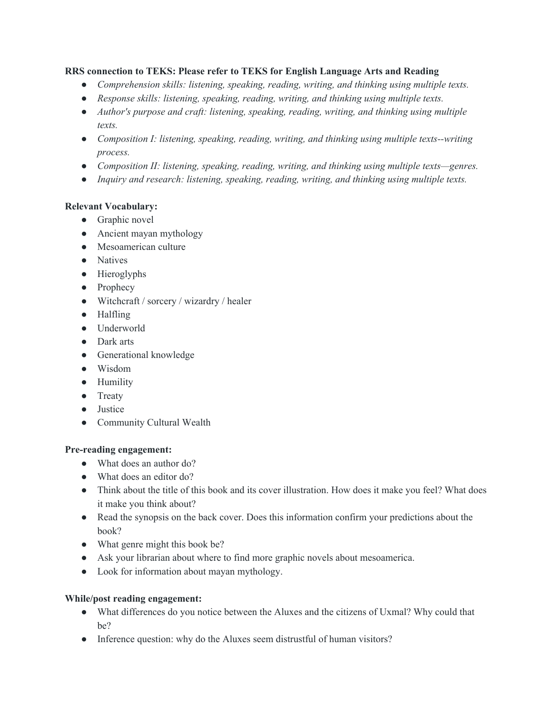#### **RRS connection to TEKS: Please refer to TEKS for English Language Arts and Reading**

- *● Comprehension skills: listening, speaking, reading, writing, and thinking using multiple texts.*
- *● Response skills: listening, speaking, reading, writing, and thinking using multiple texts.*
- *● Author's purpose and craft: listening, speaking, reading, writing, and thinking using multiple texts.*
- *● Composition I: listening, speaking, reading, writing, and thinking using multiple texts--writing process.*
- *● Composition II: listening, speaking, reading, writing, and thinking using multiple texts—genres.*
- *● Inquiry and research: listening, speaking, reading, writing, and thinking using multiple texts.*

#### **Relevant Vocabulary:**

- Graphic novel
- Ancient mayan mythology
- Mesoamerican culture
- Natives
- Hieroglyphs
- Prophecy
- Witchcraft / sorcery / wizardry / healer
- Halfling
- Underworld
- Dark arts
- Generational knowledge
- Wisdom
- Humility
- Treaty
- Justice
- Community Cultural Wealth

### **Pre-reading engagement:**

- What does an author do?
- What does an editor do?
- Think about the title of this book and its cover illustration. How does it make you feel? What does it make you think about?
- Read the synopsis on the back cover. Does this information confirm your predictions about the book?
- What genre might this book be?
- Ask your librarian about where to find more graphic novels about mesoamerica.
- Look for information about mayan mythology.

### **While/post reading engagement:**

- What differences do you notice between the Aluxes and the citizens of Uxmal? Why could that be?
- Inference question: why do the Aluxes seem distrustful of human visitors?